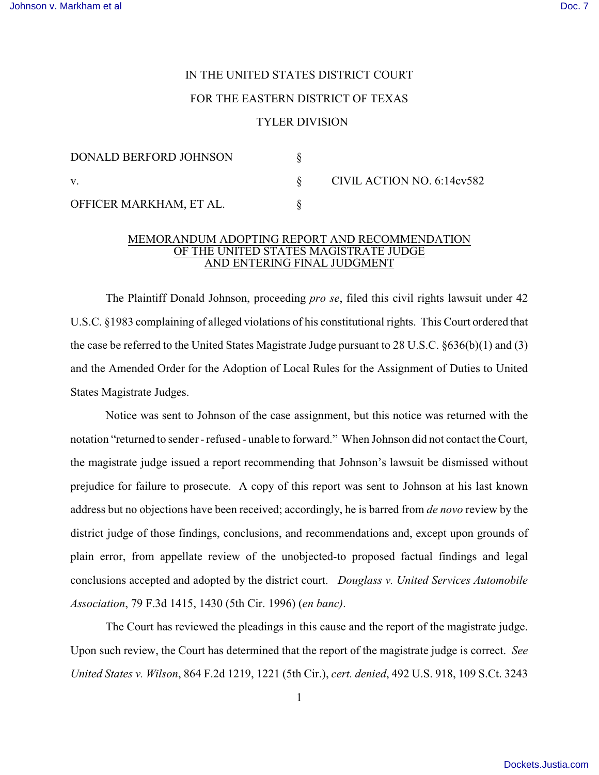## IN THE UNITED STATES DISTRICT COURT FOR THE EASTERN DISTRICT OF TEXAS

## TYLER DIVISION

| DONALD BERFORD JOHNSON  |                            |
|-------------------------|----------------------------|
| V.                      | CIVIL ACTION NO. 6:14cv582 |
| OFFICER MARKHAM, ET AL. |                            |

## MEMORANDUM ADOPTING REPORT AND RECOMMENDATION OF THE UNITED STATES MAGISTRATE JUDGE AND ENTERING FINAL JUDGMENT

The Plaintiff Donald Johnson, proceeding *pro se*, filed this civil rights lawsuit under 42 U.S.C. §1983 complaining of alleged violations of his constitutional rights. This Court ordered that the case be referred to the United States Magistrate Judge pursuant to 28 U.S.C. §636(b)(1) and (3) and the Amended Order for the Adoption of Local Rules for the Assignment of Duties to United States Magistrate Judges.

Notice was sent to Johnson of the case assignment, but this notice was returned with the notation "returned to sender - refused - unable to forward." When Johnson did not contact the Court, the magistrate judge issued a report recommending that Johnson's lawsuit be dismissed without prejudice for failure to prosecute. A copy of this report was sent to Johnson at his last known address but no objections have been received; accordingly, he is barred from *de novo* review by the district judge of those findings, conclusions, and recommendations and, except upon grounds of plain error, from appellate review of the unobjected-to proposed factual findings and legal conclusions accepted and adopted by the district court. *Douglass v. United Services Automobile Association*, 79 F.3d 1415, 1430 (5th Cir. 1996) (*en banc)*.

The Court has reviewed the pleadings in this cause and the report of the magistrate judge. Upon such review, the Court has determined that the report of the magistrate judge is correct. *See United States v. Wilson*, 864 F.2d 1219, 1221 (5th Cir.), *cert. denied*, 492 U.S. 918, 109 S.Ct. 3243